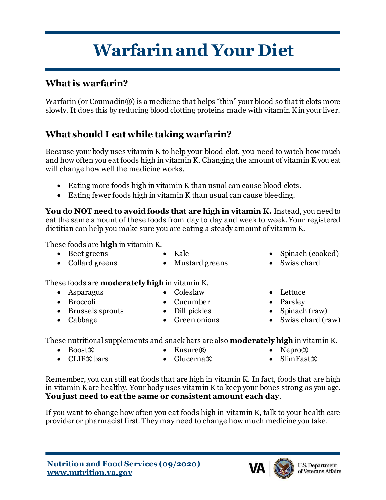# **Warfarin and Your Diet**

#### **What is warfarin?**

Warfarin (or Coumadin®) is a medicine that helps "thin" your blood so that it clots more slowly. It does this by reducing blood clotting proteins made with vitamin K in your liver.

#### **What should I eat while taking warfarin?**

Because your body uses vitamin K to help your blood clot, you need to watch how much and how often you eat foods high in vitamin K. Changing the amount of vitamin K you eat will change how well the medicine works.

- Eating more foods high in vitamin K than usual can cause blood clots.
- Eating fewer foods high in vitamin K than usual can cause bleeding.

**You do NOT need to avoid foods that are high in vitamin K.** Instead, you need to eat the same amount of these foods from day to day and week to week. Your registered dietitian can help you make sure you are eating a steady amount of vitamin K.

• Mustard greens

These foods are **high** in vitamin K.

• Beet greens

• Collard greens

• Kale

- Spinach (cooked)
- Swiss chard

These foods are **moderately high** in vitamin K.

- Asparagus
- Broccoli
- Brussels sprouts
- Cabbage
- Coleslaw
- Cucumber
- Dill pickles
- Green onions
- 
- Lettuce
- Parsley
- Spinach (raw)
- Swiss chard (raw)

These nutritional supplements and snack bars are also **moderately high** in vitamin K.

- $Boost(R)$
- $\bullet$  CLIF® bars
- $Ensure$  $(R)$ • Glucerna $\mathbb{R}$
- Nepro $\mathbb{R}$
- $SlimFast(\mathbb{R})$

Remember, you can still eat foods that are high in vitamin K. In fact, foods that are high in vitamin K are healthy. Your body uses vitamin K to keep your bones strong as you age. **You just need to eat the same or consistent amount each day**.

If you want to change how often you eat foods high in vitamin K, talk to your health care provider or pharmacist first. They may need to change how much medicine you take.